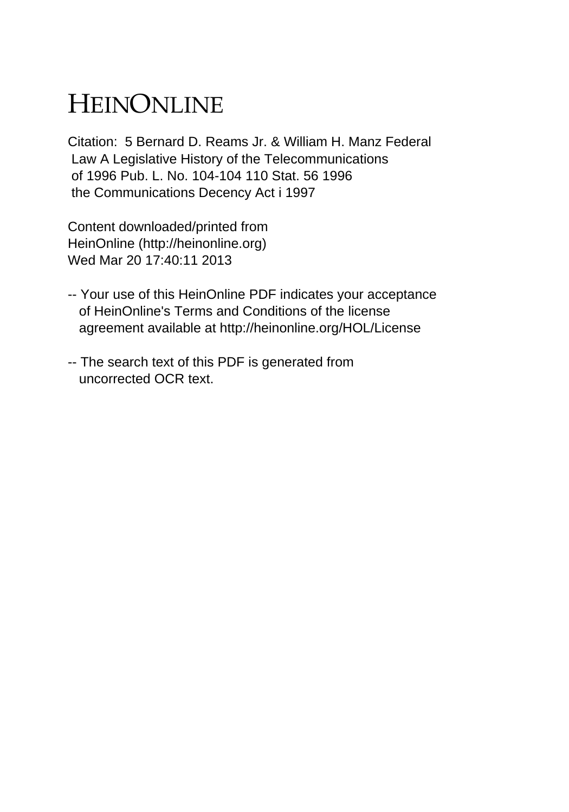## HEINONLINE

Citation: 5 Bernard D. Reams Jr. & William H. Manz Federal Law A Legislative History of the Telecommunications of 1996 Pub. L. No. 104-104 110 Stat. 56 1996 the Communications Decency Act i 1997

Content downloaded/printed from HeinOnline (http://heinonline.org) Wed Mar 20 17:40:11 2013

- -- Your use of this HeinOnline PDF indicates your acceptance of HeinOnline's Terms and Conditions of the license agreement available at http://heinonline.org/HOL/License
- -- The search text of this PDF is generated from uncorrected OCR text.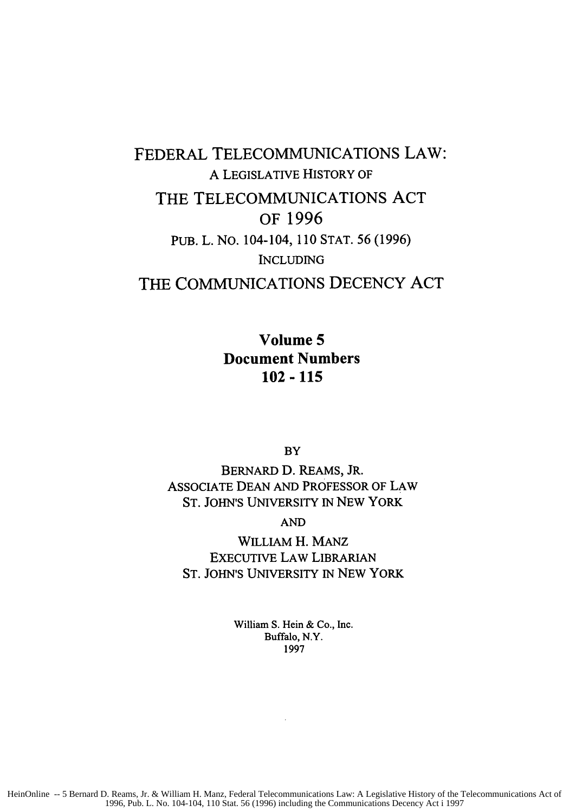## FEDERAL TELECOMMUNICATIONS LAW: A LEGISLATIVE HISTORY OF THE TELECOMMUNICATIONS **ACT** OF **1996** PUB. L. NO. 104-104, 110 STAT. 56 (1996) INCLUDING THE **COMMUNICATIONS DECENCY ACT**

**Volume 5 Document Numbers 102-115**

BY

BERNARD D. REAMS, JR. ASSOCIATE DEAN AND PROFESSOR OF LAW ST. JOHN'S UNIVERSITY IN NEW YORK

AND

WILLIAM H. MANZ EXECUTIVE LAW LIBRARIAN ST. JOHN'S UNIVERSITY IN NEW YORK

> William **S. Hein &** Co., Inc. Buffalo, N.Y. 1997